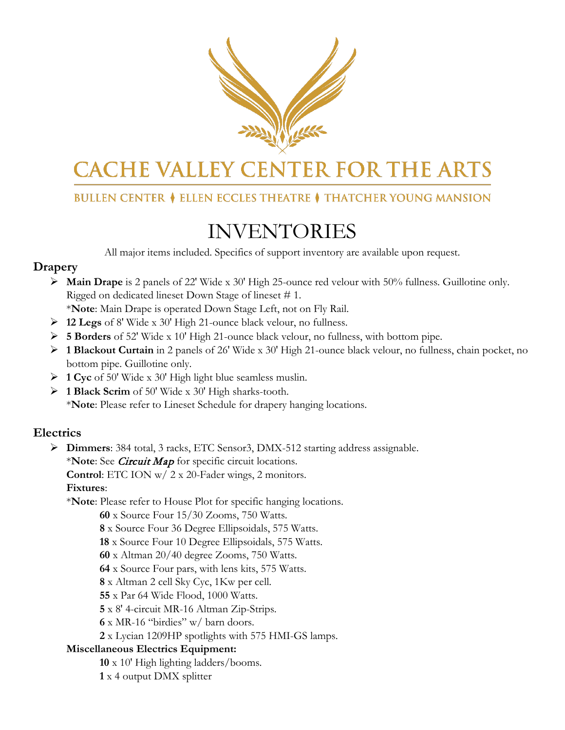

# **CACHE VALLEY CENTER FOR THE ARTS**

## **BULLEN CENTER ♦ ELLEN ECCLES THEATRE ♦ THATCHER YOUNG MANSION**

## INVENTORIES

All major items included. Specifics of support inventory are available upon request.

## **Drapery**

- **Main Drape** is 2 panels of 22' Wide x 30' High 25-ounce red velour with 50% fullness. Guillotine only. Rigged on dedicated lineset Down Stage of lineset # 1.
	- \***Note**: Main Drape is operated Down Stage Left, not on Fly Rail.
- **12 Legs** of 8' Wide x 30' High 21-ounce black velour, no fullness.
- **5 Borders** of 52' Wide x 10' High 21-ounce black velour, no fullness, with bottom pipe.
- **1 Blackout Curtain** in 2 panels of 26' Wide x 30' High 21-ounce black velour, no fullness, chain pocket, no bottom pipe. Guillotine only.
- **1 Cyc** of 50' Wide x 30' High light blue seamless muslin.
- **1 Black Scrim** of 50' Wide x 30' High sharks-tooth. \***Note**: Please refer to Lineset Schedule for drapery hanging locations.

## **Electrics**

**Dimmers**: 384 total, 3 racks, ETC Sensor3, DMX-512 starting address assignable.

\***Note**: See Circuit Map for specific circuit locations.

**Control**: ETC ION w/ 2 x 20-Fader wings, 2 monitors.

**Fixtures**:

\***Note**: Please refer to House Plot for specific hanging locations.

**60** x Source Four 15/30 Zooms, 750 Watts.

**8** x Source Four 36 Degree Ellipsoidals, 575 Watts.

**18** x Source Four 10 Degree Ellipsoidals, 575 Watts.

**60** x Altman 20/40 degree Zooms, 750 Watts.

**64** x Source Four pars, with lens kits, 575 Watts.

**8** x Altman 2 cell Sky Cyc, 1Kw per cell.

**55** x Par 64 Wide Flood, 1000 Watts.

**5** x 8' 4-circuit MR-16 Altman Zip-Strips.

**6** x MR-16 "birdies" w/ barn doors.

**2** x Lycian 1209HP spotlights with 575 HMI-GS lamps.

#### **Miscellaneous Electrics Equipment:**

**10** x 10' High lighting ladders/booms.

**1** x 4 output DMX splitter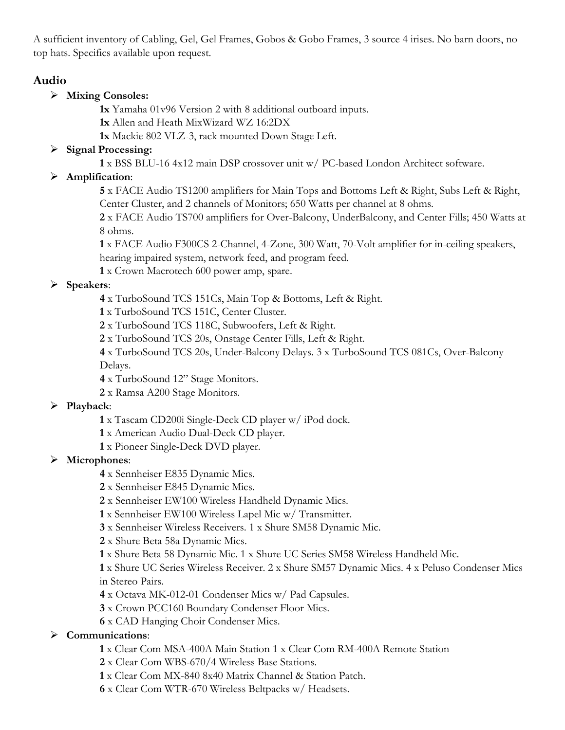A sufficient inventory of Cabling, Gel, Gel Frames, Gobos & Gobo Frames, 3 source 4 irises. No barn doors, no top hats. Specifics available upon request.

## **Audio**

#### **Mixing Consoles:**

**1x** Yamaha 01v96 Version 2 with 8 additional outboard inputs.

**1x** Allen and Heath MixWizard WZ 16:2DX

**1x** Mackie 802 VLZ-3, rack mounted Down Stage Left.

#### **Signal Processing:**

x BSS BLU-16 4x12 main DSP crossover unit w/ PC-based London Architect software.

### **Amplification**:

 x FACE Audio TS1200 amplifiers for Main Tops and Bottoms Left & Right, Subs Left & Right, Center Cluster, and 2 channels of Monitors; 650 Watts per channel at 8 ohms.

 x FACE Audio TS700 amplifiers for Over-Balcony, UnderBalcony, and Center Fills; 450 Watts at 8 ohms.

 x FACE Audio F300CS 2-Channel, 4-Zone, 300 Watt, 70-Volt amplifier for in-ceiling speakers, hearing impaired system, network feed, and program feed.

x Crown Macrotech 600 power amp, spare.

### **Speakers**:

- x TurboSound TCS 151Cs, Main Top & Bottoms, Left & Right.
- x TurboSound TCS 151C, Center Cluster.
- x TurboSound TCS 118C, Subwoofers, Left & Right.
- x TurboSound TCS 20s, Onstage Center Fills, Left & Right.

 x TurboSound TCS 20s, Under-Balcony Delays. 3 x TurboSound TCS 081Cs, Over-Balcony Delays.

- x TurboSound 12" Stage Monitors.
- x Ramsa A200 Stage Monitors.

#### **Playback**:

- x Tascam CD200i Single-Deck CD player w/ iPod dock.
- x American Audio Dual-Deck CD player.
- x Pioneer Single-Deck DVD player.

## **Microphones**:

- x Sennheiser E835 Dynamic Mics.
- x Sennheiser E845 Dynamic Mics.
- x Sennheiser EW100 Wireless Handheld Dynamic Mics.
- x Sennheiser EW100 Wireless Lapel Mic w/ Transmitter.
- x Sennheiser Wireless Receivers. 1 x Shure SM58 Dynamic Mic.
- x Shure Beta 58a Dynamic Mics.
- x Shure Beta 58 Dynamic Mic. 1 x Shure UC Series SM58 Wireless Handheld Mic.

 x Shure UC Series Wireless Receiver. 2 x Shure SM57 Dynamic Mics. 4 x Peluso Condenser Mics in Stereo Pairs.

- x Octava MK-012-01 Condenser Mics w/ Pad Capsules.
- x Crown PCC160 Boundary Condenser Floor Mics.
- x CAD Hanging Choir Condenser Mics.

## **Communications**:

- x Clear Com MSA-400A Main Station 1 x Clear Com RM-400A Remote Station
- x Clear Com WBS-670/4 Wireless Base Stations.
- x Clear Com MX-840 8x40 Matrix Channel & Station Patch.
- x Clear Com WTR-670 Wireless Beltpacks w/ Headsets.